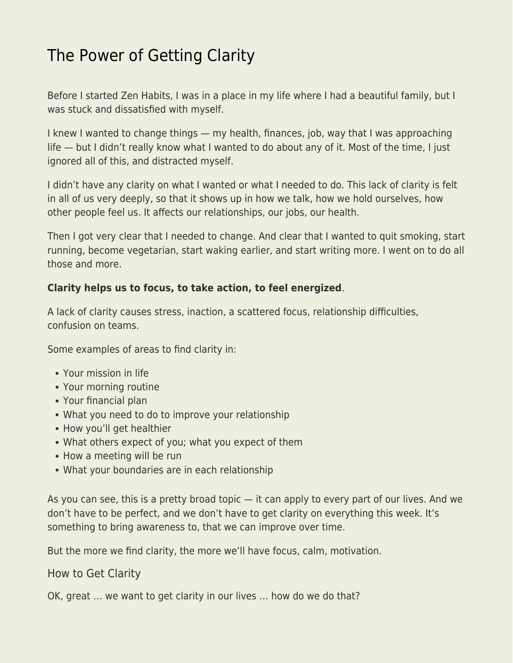## [The Power of Getting Clarity](https://everything-voluntary.com/the-power-of-getting-clarity)

Before I started Zen Habits, I was in a place in my life where I had a beautiful family, but I was stuck and dissatisfied with myself.

I knew I wanted to change things — my health, finances, job, way that I was approaching life — but I didn't really know what I wanted to do about any of it. Most of the time, I just ignored all of this, and distracted myself.

I didn't have any clarity on what I wanted or what I needed to do. This lack of clarity is felt in all of us very deeply, so that it shows up in how we talk, how we hold ourselves, how other people feel us. It affects our relationships, our jobs, our health.

Then I got very clear that I needed to change. And clear that I wanted to quit smoking, start running, become vegetarian, start waking earlier, and start writing more. I went on to do all those and more.

## **Clarity helps us to focus, to take action, to feel energized**.

A lack of clarity causes stress, inaction, a scattered focus, relationship difficulties, confusion on teams.

Some examples of areas to find clarity in:

- Your mission in life
- Your morning routine
- Your financial plan
- What you need to do to improve your relationship
- How you'll get healthier
- What others expect of you; what you expect of them
- How a meeting will be run
- What your boundaries are in each relationship

As you can see, this is a pretty broad topic — it can apply to every part of our lives. And we don't have to be perfect, and we don't have to get clarity on everything this week. It's something to bring awareness to, that we can improve over time.

But the more we find clarity, the more we'll have focus, calm, motivation.

How to Get Clarity

OK, great … we want to get clarity in our lives … how do we do that?